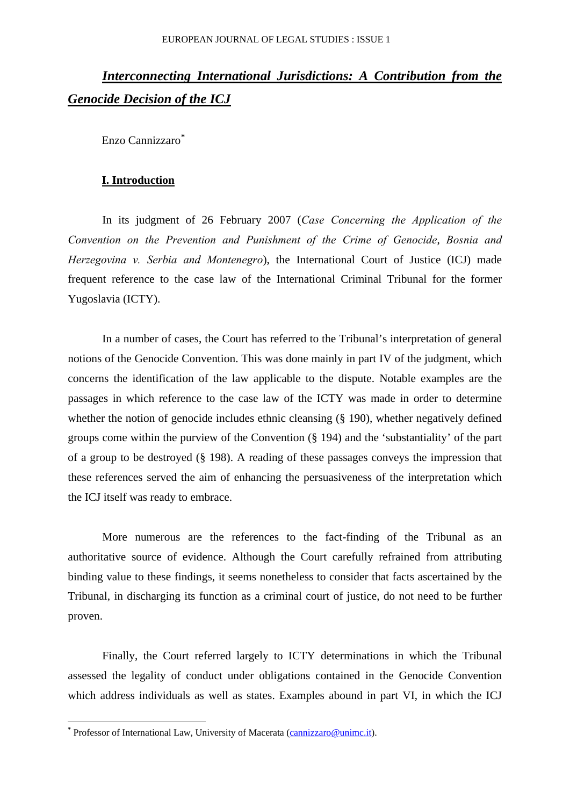# *Interconnecting International Jurisdictions: A Contribution from the Genocide Decision of the ICJ*

Enzo Cannizzaro**[\\*](#page-0-0)**

### **I. Introduction**

In its judgment of 26 February 2007 (*Case Concerning the Application of the Convention on the Prevention and Punishment of the Crime of Genocide*, *Bosnia and Herzegovina v. Serbia and Montenegro*), the International Court of Justice (ICJ) made frequent reference to the case law of the International Criminal Tribunal for the former Yugoslavia (ICTY).

In a number of cases, the Court has referred to the Tribunal's interpretation of general notions of the Genocide Convention. This was done mainly in part IV of the judgment, which concerns the identification of the law applicable to the dispute. Notable examples are the passages in which reference to the case law of the ICTY was made in order to determine whether the notion of genocide includes ethnic cleansing (§ 190), whether negatively defined groups come within the purview of the Convention (§ 194) and the 'substantiality' of the part of a group to be destroyed (§ 198). A reading of these passages conveys the impression that these references served the aim of enhancing the persuasiveness of the interpretation which the ICJ itself was ready to embrace.

More numerous are the references to the fact-finding of the Tribunal as an authoritative source of evidence. Although the Court carefully refrained from attributing binding value to these findings, it seems nonetheless to consider that facts ascertained by the Tribunal, in discharging its function as a criminal court of justice, do not need to be further proven.

Finally, the Court referred largely to ICTY determinations in which the Tribunal assessed the legality of conduct under obligations contained in the Genocide Convention which address individuals as well as states. Examples abound in part VI, in which the ICJ

<span id="page-0-0"></span><sup>&</sup>lt;sup>\*</sup> Professor of International Law, University of Macerata (*[cannizzaro@unimc.it](mailto:cannizzaro@unimc.it)*).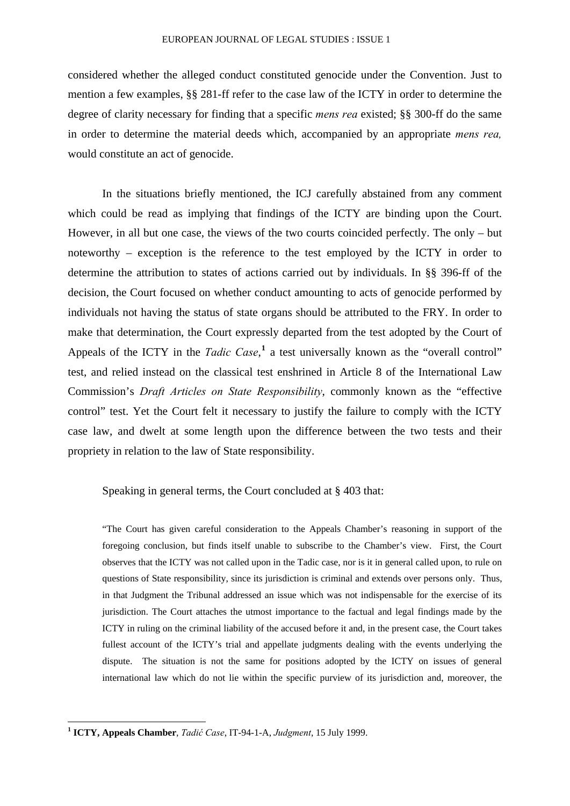considered whether the alleged conduct constituted genocide under the Convention. Just to mention a few examples, §§ 281-ff refer to the case law of the ICTY in order to determine the degree of clarity necessary for finding that a specific *mens rea* existed; §§ 300-ff do the same in order to determine the material deeds which, accompanied by an appropriate *mens rea,* would constitute an act of genocide.

In the situations briefly mentioned, the ICJ carefully abstained from any comment which could be read as implying that findings of the ICTY are binding upon the Court. However, in all but one case, the views of the two courts coincided perfectly. The only – but noteworthy – exception is the reference to the test employed by the ICTY in order to determine the attribution to states of actions carried out by individuals. In §§ 396-ff of the decision, the Court focused on whether conduct amounting to acts of genocide performed by individuals not having the status of state organs should be attributed to the FRY. In order to make that determination, the Court expressly departed from the test adopted by the Court of Appeals of the ICTY in the *Tadic Case*,<sup>[1](#page-1-0)</sup> a test universally known as the "overall control" test, and relied instead on the classical test enshrined in Article 8 of the International Law Commission's *Draft Articles on State Responsibility*, commonly known as the "effective control" test. Yet the Court felt it necessary to justify the failure to comply with the ICTY case law, and dwelt at some length upon the difference between the two tests and their propriety in relation to the law of State responsibility.

## Speaking in general terms, the Court concluded at § 403 that:

"The Court has given careful consideration to the Appeals Chamber's reasoning in support of the foregoing conclusion, but finds itself unable to subscribe to the Chamber's view. First, the Court observes that the ICTY was not called upon in the Tadic case, nor is it in general called upon, to rule on questions of State responsibility, since its jurisdiction is criminal and extends over persons only. Thus, in that Judgment the Tribunal addressed an issue which was not indispensable for the exercise of its jurisdiction. The Court attaches the utmost importance to the factual and legal findings made by the ICTY in ruling on the criminal liability of the accused before it and, in the present case, the Court takes fullest account of the ICTY's trial and appellate judgments dealing with the events underlying the dispute. The situation is not the same for positions adopted by the ICTY on issues of general international law which do not lie within the specific purview of its jurisdiction and, moreover, the

<span id="page-1-0"></span>**<sup>1</sup> ICTY, Appeals Chamber**, *Tadić Case*, IT-94-1-A, *Judgment*, 15 July 1999.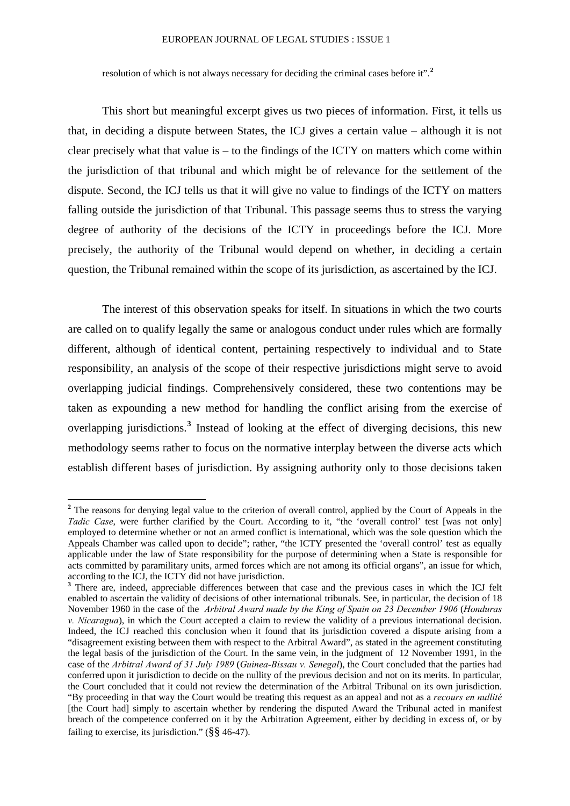#### EUROPEAN JOURNAL OF LEGAL STUDIES : ISSUE 1

resolution of which is not always necessary for deciding the criminal cases before it".**[2](#page-2-0)**

This short but meaningful excerpt gives us two pieces of information. First, it tells us that, in deciding a dispute between States, the ICJ gives a certain value – although it is not clear precisely what that value is – to the findings of the ICTY on matters which come within the jurisdiction of that tribunal and which might be of relevance for the settlement of the dispute. Second, the ICJ tells us that it will give no value to findings of the ICTY on matters falling outside the jurisdiction of that Tribunal. This passage seems thus to stress the varying degree of authority of the decisions of the ICTY in proceedings before the ICJ. More precisely, the authority of the Tribunal would depend on whether, in deciding a certain question, the Tribunal remained within the scope of its jurisdiction, as ascertained by the ICJ.

The interest of this observation speaks for itself. In situations in which the two courts are called on to qualify legally the same or analogous conduct under rules which are formally different, although of identical content, pertaining respectively to individual and to State responsibility, an analysis of the scope of their respective jurisdictions might serve to avoid overlapping judicial findings. Comprehensively considered, these two contentions may be taken as expounding a new method for handling the conflict arising from the exercise of overlapping jurisdictions.**[3](#page-2-1)** Instead of looking at the effect of diverging decisions, this new methodology seems rather to focus on the normative interplay between the diverse acts which establish different bases of jurisdiction. By assigning authority only to those decisions taken

<span id="page-2-0"></span><sup>&</sup>lt;sup>2</sup> The reasons for denying legal value to the criterion of overall control, applied by the Court of Appeals in the *Tadic Case*, were further clarified by the Court. According to it, "the 'overall control' test [was not only] employed to determine whether or not an armed conflict is international, which was the sole question which the Appeals Chamber was called upon to decide"; rather, "the ICTY presented the 'overall control' test as equally applicable under the law of State responsibility for the purpose of determining when a State is responsible for acts committed by paramilitary units, armed forces which are not among its official organs", an issue for which, according to the ICJ, the ICTY did not have jurisdiction.

<span id="page-2-1"></span><sup>&</sup>lt;sup>3</sup> There are, indeed, appreciable differences between that case and the previous cases in which the ICJ felt enabled to ascertain the validity of decisions of other international tribunals. See, in particular, the decision of 18 November 1960 in the case of the *Arbitral Award made by the King of Spain on 23 December 1906* (*Honduras v. Nicaragua*), in which the Court accepted a claim to review the validity of a previous international decision. Indeed, the ICJ reached this conclusion when it found that its jurisdiction covered a dispute arising from a "disagreement existing between them with respect to the Arbitral Award", as stated in the agreement constituting the legal basis of the jurisdiction of the Court. In the same vein, in the judgment of 12 November 1991, in the case of the *Arbitral Award of 31 July 1989* (*Guinea-Bissau v. Senegal*), the Court concluded that the parties had conferred upon it jurisdiction to decide on the nullity of the previous decision and not on its merits. In particular, the Court concluded that it could not review the determination of the Arbitral Tribunal on its own jurisdiction. "By proceeding in that way the Court would be treating this request as an appeal and not as a *recours en nullité*  [the Court had] simply to ascertain whether by rendering the disputed Award the Tribunal acted in manifest breach of the competence conferred on it by the Arbitration Agreement, either by deciding in excess of, or by failing to exercise, its jurisdiction."  $(\frac{8}{8}46-47)$ .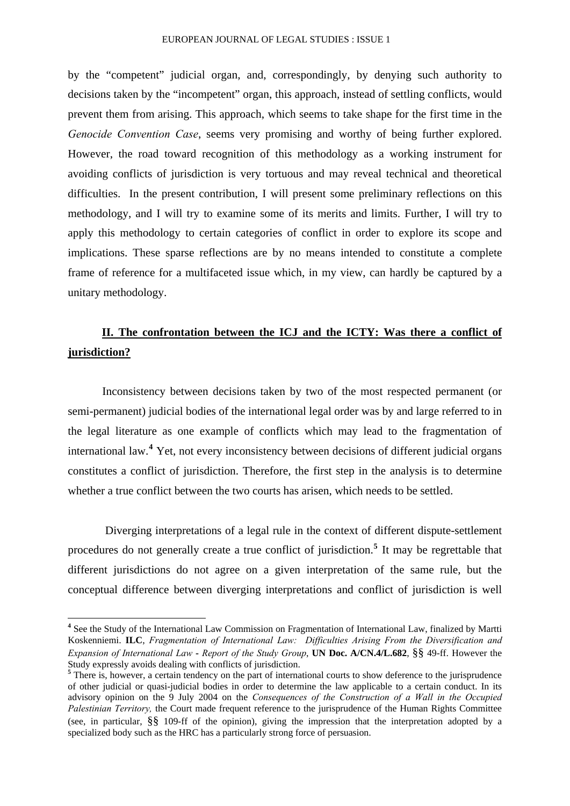by the "competent" judicial organ, and, correspondingly, by denying such authority to decisions taken by the "incompetent" organ, this approach, instead of settling conflicts, would prevent them from arising. This approach, which seems to take shape for the first time in the *Genocide Convention Case*, seems very promising and worthy of being further explored. However, the road toward recognition of this methodology as a working instrument for avoiding conflicts of jurisdiction is very tortuous and may reveal technical and theoretical difficulties. In the present contribution, I will present some preliminary reflections on this methodology, and I will try to examine some of its merits and limits. Further, I will try to apply this methodology to certain categories of conflict in order to explore its scope and implications. These sparse reflections are by no means intended to constitute a complete frame of reference for a multifaceted issue which, in my view, can hardly be captured by a unitary methodology.

## **II. The confrontation between the ICJ and the ICTY: Was there a conflict of jurisdiction?**

Inconsistency between decisions taken by two of the most respected permanent (or semi-permanent) judicial bodies of the international legal order was by and large referred to in the legal literature as one example of conflicts which may lead to the fragmentation of international law.**[4](#page-3-0)** Yet, not every inconsistency between decisions of different judicial organs constitutes a conflict of jurisdiction. Therefore, the first step in the analysis is to determine whether a true conflict between the two courts has arisen, which needs to be settled.

 Diverging interpretations of a legal rule in the context of different dispute-settlement procedures do not generally create a true conflict of jurisdiction.**[5](#page-3-1)** It may be regrettable that different jurisdictions do not agree on a given interpretation of the same rule, but the conceptual difference between diverging interpretations and conflict of jurisdiction is well

<span id="page-3-0"></span><sup>&</sup>lt;sup>4</sup> See the Study of the International Law Commission on Fragmentation of International Law, finalized by Martti Koskenniemi. **ILC**, *Fragmentation of International Law: Difficulties Arising From the Diversification and Expansion of International Law* **-** *Report of the Study Group*, **UN Doc. A/CN.4/L.682**, §§ 49-ff. However the Study expressly avoids dealing with conflicts of jurisdiction.

<span id="page-3-1"></span><sup>&</sup>lt;sup>5</sup> There is, however, a certain tendency on the part of international courts to show deference to the jurisprudence of other judicial or quasi-judicial bodies in order to determine the law applicable to a certain conduct. In its advisory opinion on the 9 July 2004 on the *Consequences of the Construction of a Wall in the Occupied Palestinian Territory,* the Court made frequent reference to the jurisprudence of the Human Rights Committee (see, in particular, §§ 109-ff of the opinion), giving the impression that the interpretation adopted by a specialized body such as the HRC has a particularly strong force of persuasion.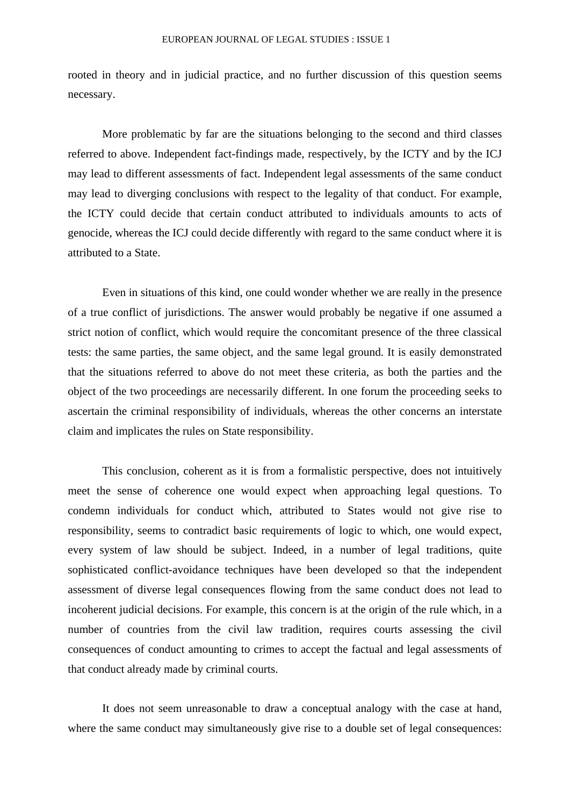rooted in theory and in judicial practice, and no further discussion of this question seems necessary.

More problematic by far are the situations belonging to the second and third classes referred to above. Independent fact-findings made, respectively, by the ICTY and by the ICJ may lead to different assessments of fact. Independent legal assessments of the same conduct may lead to diverging conclusions with respect to the legality of that conduct. For example, the ICTY could decide that certain conduct attributed to individuals amounts to acts of genocide, whereas the ICJ could decide differently with regard to the same conduct where it is attributed to a State.

Even in situations of this kind, one could wonder whether we are really in the presence of a true conflict of jurisdictions. The answer would probably be negative if one assumed a strict notion of conflict, which would require the concomitant presence of the three classical tests: the same parties, the same object, and the same legal ground. It is easily demonstrated that the situations referred to above do not meet these criteria, as both the parties and the object of the two proceedings are necessarily different. In one forum the proceeding seeks to ascertain the criminal responsibility of individuals, whereas the other concerns an interstate claim and implicates the rules on State responsibility.

This conclusion, coherent as it is from a formalistic perspective, does not intuitively meet the sense of coherence one would expect when approaching legal questions. To condemn individuals for conduct which, attributed to States would not give rise to responsibility, seems to contradict basic requirements of logic to which, one would expect, every system of law should be subject. Indeed, in a number of legal traditions, quite sophisticated conflict-avoidance techniques have been developed so that the independent assessment of diverse legal consequences flowing from the same conduct does not lead to incoherent judicial decisions. For example, this concern is at the origin of the rule which, in a number of countries from the civil law tradition, requires courts assessing the civil consequences of conduct amounting to crimes to accept the factual and legal assessments of that conduct already made by criminal courts.

It does not seem unreasonable to draw a conceptual analogy with the case at hand, where the same conduct may simultaneously give rise to a double set of legal consequences: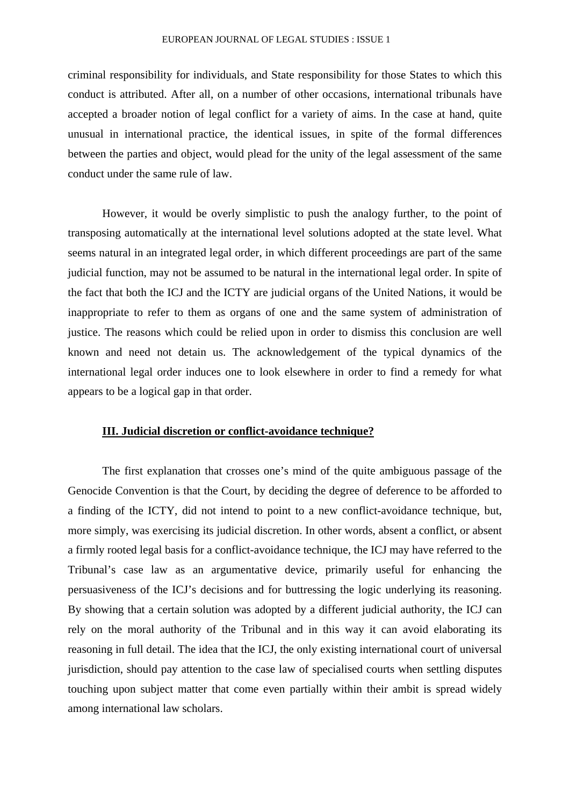criminal responsibility for individuals, and State responsibility for those States to which this conduct is attributed. After all, on a number of other occasions, international tribunals have accepted a broader notion of legal conflict for a variety of aims. In the case at hand, quite unusual in international practice, the identical issues, in spite of the formal differences between the parties and object, would plead for the unity of the legal assessment of the same conduct under the same rule of law.

However, it would be overly simplistic to push the analogy further, to the point of transposing automatically at the international level solutions adopted at the state level. What seems natural in an integrated legal order, in which different proceedings are part of the same judicial function, may not be assumed to be natural in the international legal order. In spite of the fact that both the ICJ and the ICTY are judicial organs of the United Nations, it would be inappropriate to refer to them as organs of one and the same system of administration of justice. The reasons which could be relied upon in order to dismiss this conclusion are well known and need not detain us. The acknowledgement of the typical dynamics of the international legal order induces one to look elsewhere in order to find a remedy for what appears to be a logical gap in that order.

## **III. Judicial discretion or conflict-avoidance technique?**

The first explanation that crosses one's mind of the quite ambiguous passage of the Genocide Convention is that the Court, by deciding the degree of deference to be afforded to a finding of the ICTY, did not intend to point to a new conflict-avoidance technique, but, more simply, was exercising its judicial discretion. In other words, absent a conflict, or absent a firmly rooted legal basis for a conflict-avoidance technique, the ICJ may have referred to the Tribunal's case law as an argumentative device, primarily useful for enhancing the persuasiveness of the ICJ's decisions and for buttressing the logic underlying its reasoning. By showing that a certain solution was adopted by a different judicial authority, the ICJ can rely on the moral authority of the Tribunal and in this way it can avoid elaborating its reasoning in full detail. The idea that the ICJ, the only existing international court of universal jurisdiction, should pay attention to the case law of specialised courts when settling disputes touching upon subject matter that come even partially within their ambit is spread widely among international law scholars.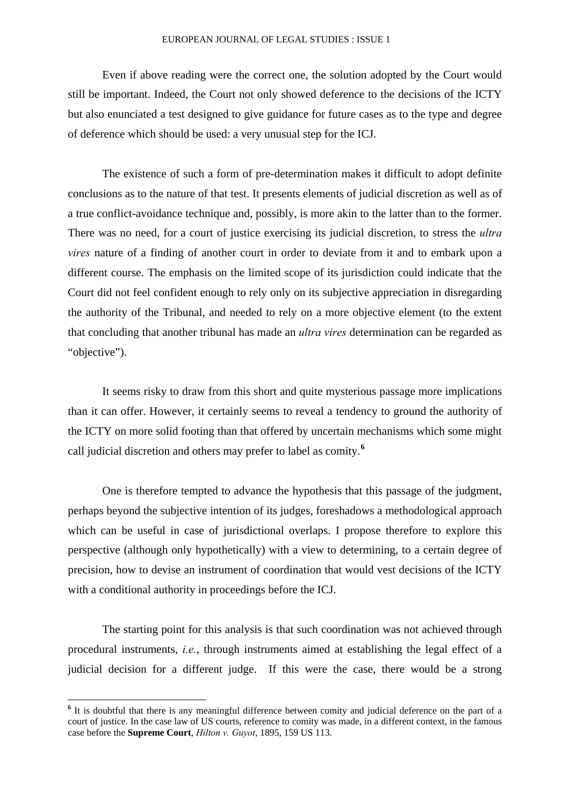#### EUROPEAN JOURNAL OF LEGAL STUDIES : ISSUE 1

Even if above reading were the correct one, the solution adopted by the Court would still be important. Indeed, the Court not only showed deference to the decisions of the ICTY but also enunciated a test designed to give guidance for future cases as to the type and degree of deference which should be used: a very unusual step for the ICJ.

The existence of such a form of pre-determination makes it difficult to adopt definite conclusions as to the nature of that test. It presents elements of judicial discretion as well as of a true conflict-avoidance technique and, possibly, is more akin to the latter than to the former. There was no need, for a court of justice exercising its judicial discretion, to stress the *ultra vires* nature of a finding of another court in order to deviate from it and to embark upon a different course. The emphasis on the limited scope of its jurisdiction could indicate that the Court did not feel confident enough to rely only on its subjective appreciation in disregarding the authority of the Tribunal, and needed to rely on a more objective element (to the extent that concluding that another tribunal has made an *ultra vires* determination can be regarded as "objective").

It seems risky to draw from this short and quite mysterious passage more implications than it can offer. However, it certainly seems to reveal a tendency to ground the authority of the ICTY on more solid footing than that offered by uncertain mechanisms which some might call judicial discretion and others may prefer to label as comity.**[6](#page-6-0)**

One is therefore tempted to advance the hypothesis that this passage of the judgment, perhaps beyond the subjective intention of its judges, foreshadows a methodological approach which can be useful in case of jurisdictional overlaps. I propose therefore to explore this perspective (although only hypothetically) with a view to determining, to a certain degree of precision, how to devise an instrument of coordination that would vest decisions of the ICTY with a conditional authority in proceedings before the ICJ.

The starting point for this analysis is that such coordination was not achieved through procedural instruments, *i.e.*, through instruments aimed at establishing the legal effect of a judicial decision for a different judge. If this were the case, there would be a strong

<span id="page-6-0"></span><sup>&</sup>lt;sup>6</sup> It is doubtful that there is any meaningful difference between comity and judicial deference on the part of a court of justice. In the case law of US courts, reference to comity was made, in a different context, in the famous case before the **Supreme Court**, *Hilton v. Guyot*, 1895, 159 US 113.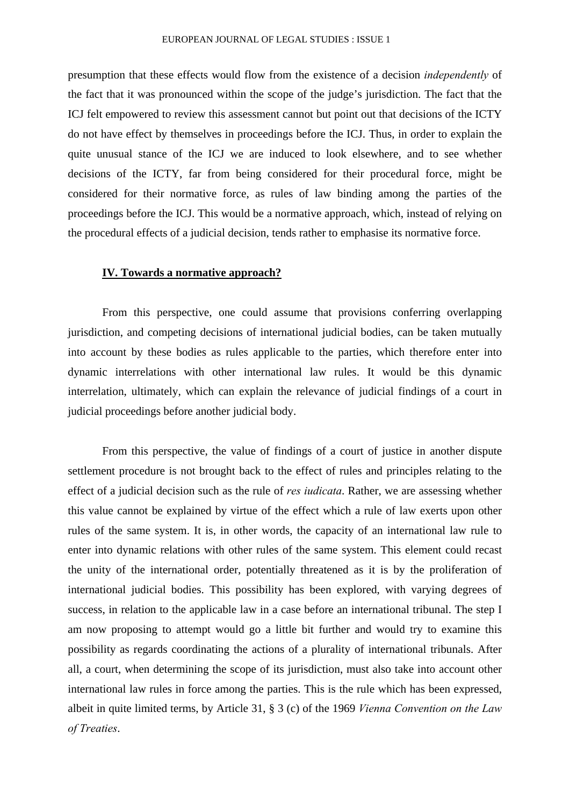presumption that these effects would flow from the existence of a decision *independently* of the fact that it was pronounced within the scope of the judge's jurisdiction. The fact that the ICJ felt empowered to review this assessment cannot but point out that decisions of the ICTY do not have effect by themselves in proceedings before the ICJ. Thus, in order to explain the quite unusual stance of the ICJ we are induced to look elsewhere, and to see whether decisions of the ICTY, far from being considered for their procedural force, might be considered for their normative force, as rules of law binding among the parties of the proceedings before the ICJ. This would be a normative approach, which, instead of relying on the procedural effects of a judicial decision, tends rather to emphasise its normative force.

## **IV. Towards a normative approach?**

From this perspective, one could assume that provisions conferring overlapping jurisdiction, and competing decisions of international judicial bodies, can be taken mutually into account by these bodies as rules applicable to the parties, which therefore enter into dynamic interrelations with other international law rules. It would be this dynamic interrelation, ultimately, which can explain the relevance of judicial findings of a court in judicial proceedings before another judicial body.

From this perspective, the value of findings of a court of justice in another dispute settlement procedure is not brought back to the effect of rules and principles relating to the effect of a judicial decision such as the rule of *res iudicata*. Rather, we are assessing whether this value cannot be explained by virtue of the effect which a rule of law exerts upon other rules of the same system. It is, in other words, the capacity of an international law rule to enter into dynamic relations with other rules of the same system. This element could recast the unity of the international order, potentially threatened as it is by the proliferation of international judicial bodies. This possibility has been explored, with varying degrees of success, in relation to the applicable law in a case before an international tribunal. The step I am now proposing to attempt would go a little bit further and would try to examine this possibility as regards coordinating the actions of a plurality of international tribunals. After all, a court, when determining the scope of its jurisdiction, must also take into account other international law rules in force among the parties. This is the rule which has been expressed, albeit in quite limited terms, by Article 31, § 3 (c) of the 1969 *Vienna Convention on the Law of Treaties*.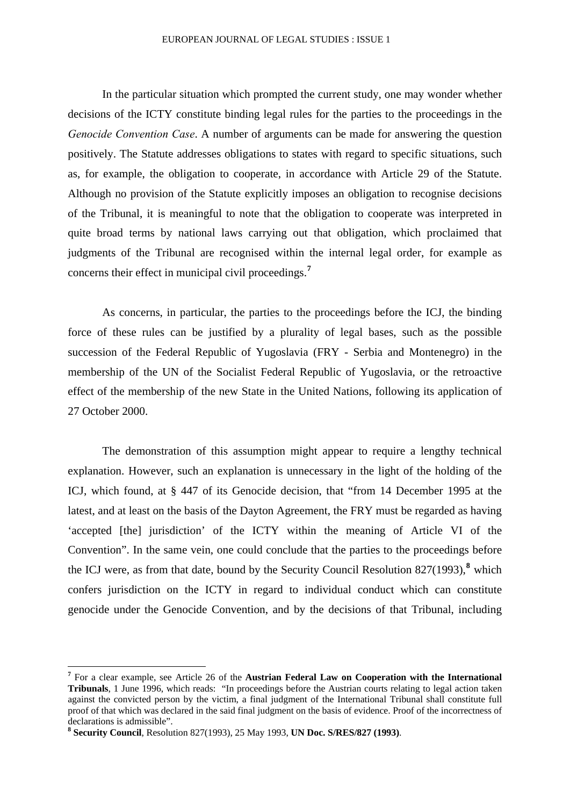In the particular situation which prompted the current study, one may wonder whether decisions of the ICTY constitute binding legal rules for the parties to the proceedings in the *Genocide Convention Case*. A number of arguments can be made for answering the question positively. The Statute addresses obligations to states with regard to specific situations, such as, for example, the obligation to cooperate, in accordance with Article 29 of the Statute. Although no provision of the Statute explicitly imposes an obligation to recognise decisions of the Tribunal, it is meaningful to note that the obligation to cooperate was interpreted in quite broad terms by national laws carrying out that obligation, which proclaimed that judgments of the Tribunal are recognised within the internal legal order, for example as concerns their effect in municipal civil proceedings.**[7](#page-8-0)**

As concerns, in particular, the parties to the proceedings before the ICJ, the binding force of these rules can be justified by a plurality of legal bases, such as the possible succession of the Federal Republic of Yugoslavia (FRY - Serbia and Montenegro) in the membership of the UN of the Socialist Federal Republic of Yugoslavia, or the retroactive effect of the membership of the new State in the United Nations, following its application of 27 October 2000.

The demonstration of this assumption might appear to require a lengthy technical explanation. However, such an explanation is unnecessary in the light of the holding of the ICJ, which found, at § 447 of its Genocide decision, that "from 14 December 1995 at the latest, and at least on the basis of the Dayton Agreement, the FRY must be regarded as having 'accepted [the] jurisdiction' of the ICTY within the meaning of Article VI of the Convention". In the same vein, one could conclude that the parties to the proceedings before the ICJ were, as from that date, bound by the Security Council Resolution [8](#page-8-1)27(1993),<sup>8</sup> which confers jurisdiction on the ICTY in regard to individual conduct which can constitute genocide under the Genocide Convention, and by the decisions of that Tribunal, including

<span id="page-8-0"></span>**<sup>7</sup>** For a clear example, see Article 26 of the **Austrian Federal Law on Cooperation with the International Tribunals**, 1 June 1996, which reads: "In proceedings before the Austrian courts relating to legal action taken against the convicted person by the victim, a final judgment of the International Tribunal shall constitute full proof of that which was declared in the said final judgment on the basis of evidence. Proof of the incorrectness of declarations is admissible".

<span id="page-8-1"></span>**<sup>8</sup> Security Council**, Resolution 827(1993), 25 May 1993, **UN Doc. S/RES/827 (1993)**.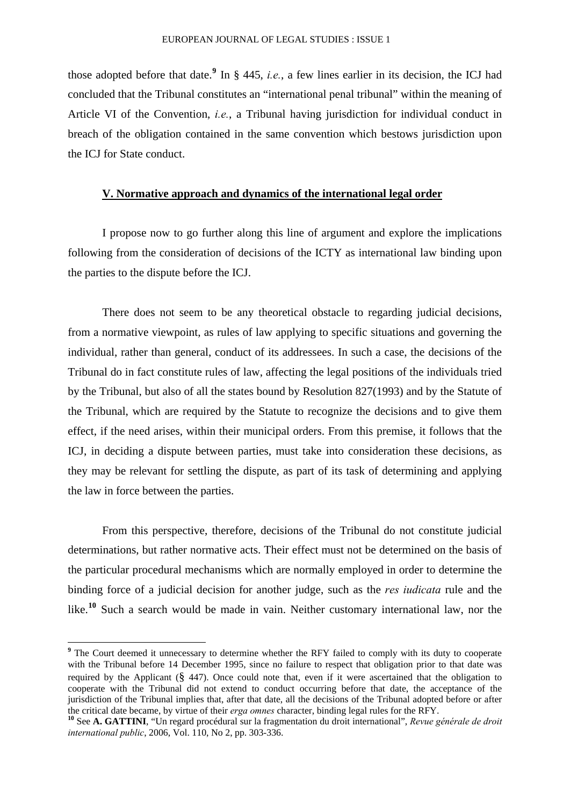those adopted before that date.**[9](#page-9-0)** In § 445, *i.e.*, a few lines earlier in its decision, the ICJ had concluded that the Tribunal constitutes an "international penal tribunal" within the meaning of Article VI of the Convention, *i.e.*, a Tribunal having jurisdiction for individual conduct in breach of the obligation contained in the same convention which bestows jurisdiction upon the ICJ for State conduct.

## **V. Normative approach and dynamics of the international legal order**

I propose now to go further along this line of argument and explore the implications following from the consideration of decisions of the ICTY as international law binding upon the parties to the dispute before the ICJ.

There does not seem to be any theoretical obstacle to regarding judicial decisions, from a normative viewpoint, as rules of law applying to specific situations and governing the individual, rather than general, conduct of its addressees. In such a case, the decisions of the Tribunal do in fact constitute rules of law, affecting the legal positions of the individuals tried by the Tribunal, but also of all the states bound by Resolution 827(1993) and by the Statute of the Tribunal, which are required by the Statute to recognize the decisions and to give them effect, if the need arises, within their municipal orders. From this premise, it follows that the ICJ, in deciding a dispute between parties, must take into consideration these decisions, as they may be relevant for settling the dispute, as part of its task of determining and applying the law in force between the parties.

From this perspective, therefore, decisions of the Tribunal do not constitute judicial determinations, but rather normative acts. Their effect must not be determined on the basis of the particular procedural mechanisms which are normally employed in order to determine the binding force of a judicial decision for another judge, such as the *res iudicata* rule and the like.<sup>[10](#page-9-1)</sup> Such a search would be made in vain. Neither customary international law, nor the

<span id="page-9-0"></span><sup>&</sup>lt;sup>9</sup> The Court deemed it unnecessary to determine whether the RFY failed to comply with its duty to cooperate with the Tribunal before 14 December 1995, since no failure to respect that obligation prior to that date was required by the Applicant (§ 447). Once could note that, even if it were ascertained that the obligation to cooperate with the Tribunal did not extend to conduct occurring before that date, the acceptance of the jurisdiction of the Tribunal implies that, after that date, all the decisions of the Tribunal adopted before or after the critical date became, by virtue of their *erga omnes* character, binding legal rules for the RFY.

<span id="page-9-1"></span>**<sup>10</sup>** See **A. GATTINI**, "Un regard procédural sur la fragmentation du droit international", *Revue générale de droit international public*, 2006, Vol. 110, No 2, pp. 303-336.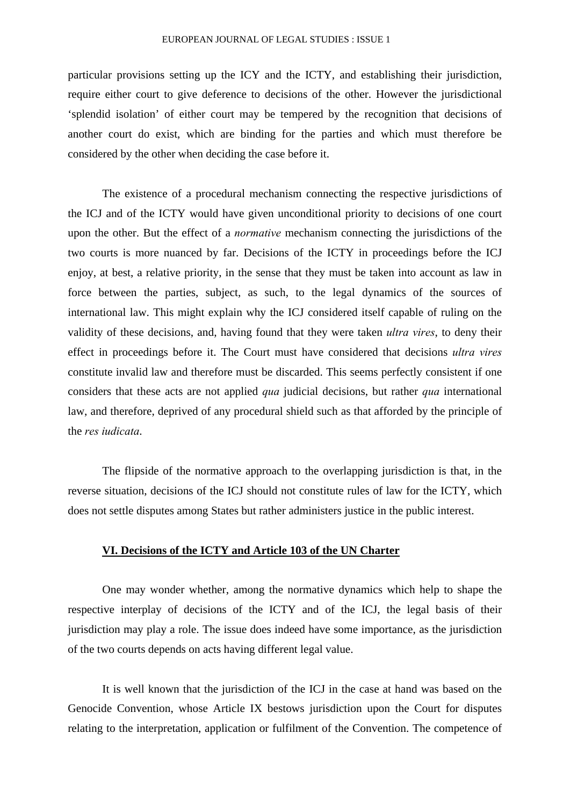particular provisions setting up the ICY and the ICTY, and establishing their jurisdiction, require either court to give deference to decisions of the other. However the jurisdictional 'splendid isolation' of either court may be tempered by the recognition that decisions of another court do exist, which are binding for the parties and which must therefore be considered by the other when deciding the case before it.

The existence of a procedural mechanism connecting the respective jurisdictions of the ICJ and of the ICTY would have given unconditional priority to decisions of one court upon the other. But the effect of a *normative* mechanism connecting the jurisdictions of the two courts is more nuanced by far. Decisions of the ICTY in proceedings before the ICJ enjoy, at best, a relative priority, in the sense that they must be taken into account as law in force between the parties, subject, as such, to the legal dynamics of the sources of international law. This might explain why the ICJ considered itself capable of ruling on the validity of these decisions, and, having found that they were taken *ultra vires*, to deny their effect in proceedings before it. The Court must have considered that decisions *ultra vires* constitute invalid law and therefore must be discarded. This seems perfectly consistent if one considers that these acts are not applied *qua* judicial decisions, but rather *qua* international law, and therefore, deprived of any procedural shield such as that afforded by the principle of the *res iudicata*.

The flipside of the normative approach to the overlapping jurisdiction is that, in the reverse situation, decisions of the ICJ should not constitute rules of law for the ICTY, which does not settle disputes among States but rather administers justice in the public interest.

## **VI. Decisions of the ICTY and Article 103 of the UN Charter**

One may wonder whether, among the normative dynamics which help to shape the respective interplay of decisions of the ICTY and of the ICJ, the legal basis of their jurisdiction may play a role. The issue does indeed have some importance, as the jurisdiction of the two courts depends on acts having different legal value.

It is well known that the jurisdiction of the ICJ in the case at hand was based on the Genocide Convention, whose Article IX bestows jurisdiction upon the Court for disputes relating to the interpretation, application or fulfilment of the Convention. The competence of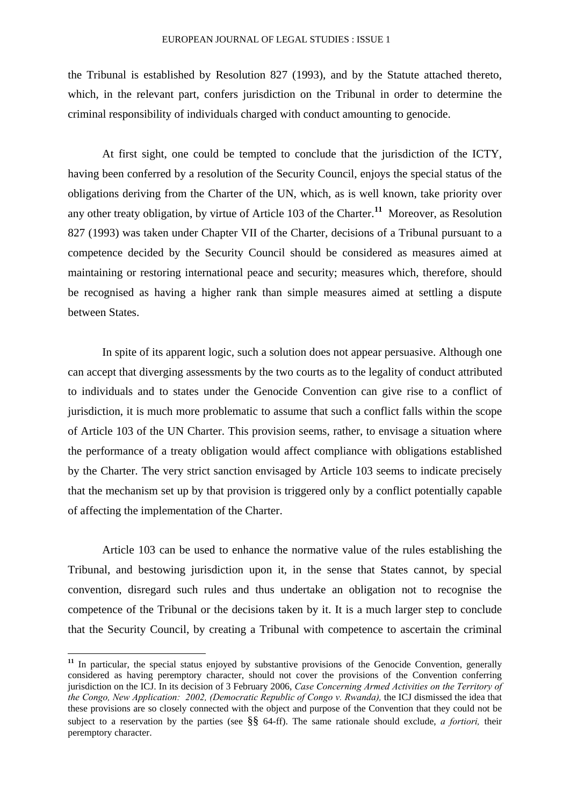the Tribunal is established by Resolution 827 (1993), and by the Statute attached thereto, which, in the relevant part, confers jurisdiction on the Tribunal in order to determine the criminal responsibility of individuals charged with conduct amounting to genocide.

At first sight, one could be tempted to conclude that the jurisdiction of the ICTY, having been conferred by a resolution of the Security Council, enjoys the special status of the obligations deriving from the Charter of the UN, which, as is well known, take priority over any other treaty obligation, by virtue of Article 103 of the Charter.**[11](#page-11-0)** Moreover, as Resolution 827 (1993) was taken under Chapter VII of the Charter, decisions of a Tribunal pursuant to a competence decided by the Security Council should be considered as measures aimed at maintaining or restoring international peace and security; measures which, therefore, should be recognised as having a higher rank than simple measures aimed at settling a dispute between States.

In spite of its apparent logic, such a solution does not appear persuasive. Although one can accept that diverging assessments by the two courts as to the legality of conduct attributed to individuals and to states under the Genocide Convention can give rise to a conflict of jurisdiction, it is much more problematic to assume that such a conflict falls within the scope of Article 103 of the UN Charter. This provision seems, rather, to envisage a situation where the performance of a treaty obligation would affect compliance with obligations established by the Charter. The very strict sanction envisaged by Article 103 seems to indicate precisely that the mechanism set up by that provision is triggered only by a conflict potentially capable of affecting the implementation of the Charter.

Article 103 can be used to enhance the normative value of the rules establishing the Tribunal, and bestowing jurisdiction upon it, in the sense that States cannot, by special convention, disregard such rules and thus undertake an obligation not to recognise the competence of the Tribunal or the decisions taken by it. It is a much larger step to conclude that the Security Council, by creating a Tribunal with competence to ascertain the criminal

<span id="page-11-0"></span><sup>&</sup>lt;sup>11</sup> In particular, the special status enjoyed by substantive provisions of the Genocide Convention, generally considered as having peremptory character, should not cover the provisions of the Convention conferring jurisdiction on the ICJ. In its decision of 3 February 2006, *Case Concerning Armed Activities on the Territory of the Congo, New Application: 2002, (Democratic Republic of Congo v. Rwanda),* the ICJ dismissed the idea that these provisions are so closely connected with the object and purpose of the Convention that they could not be subject to a reservation by the parties (see §§ 64-ff). The same rationale should exclude, *a fortiori,* their peremptory character.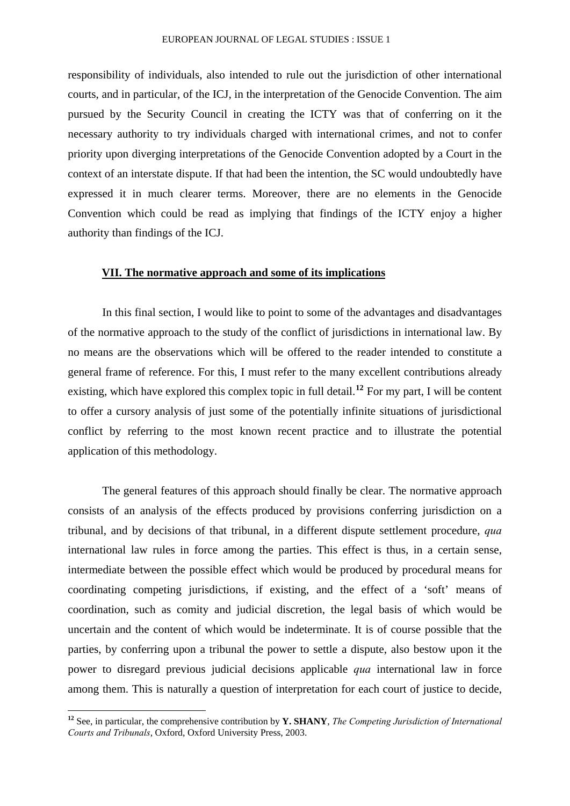responsibility of individuals, also intended to rule out the jurisdiction of other international courts, and in particular, of the ICJ, in the interpretation of the Genocide Convention. The aim pursued by the Security Council in creating the ICTY was that of conferring on it the necessary authority to try individuals charged with international crimes, and not to confer priority upon diverging interpretations of the Genocide Convention adopted by a Court in the context of an interstate dispute. If that had been the intention, the SC would undoubtedly have expressed it in much clearer terms. Moreover, there are no elements in the Genocide Convention which could be read as implying that findings of the ICTY enjoy a higher authority than findings of the ICJ.

#### **VII. The normative approach and some of its implications**

In this final section, I would like to point to some of the advantages and disadvantages of the normative approach to the study of the conflict of jurisdictions in international law. By no means are the observations which will be offered to the reader intended to constitute a general frame of reference. For this, I must refer to the many excellent contributions already existing, which have explored this complex topic in full detail.**[12](#page-12-0)** For my part, I will be content to offer a cursory analysis of just some of the potentially infinite situations of jurisdictional conflict by referring to the most known recent practice and to illustrate the potential application of this methodology.

The general features of this approach should finally be clear. The normative approach consists of an analysis of the effects produced by provisions conferring jurisdiction on a tribunal, and by decisions of that tribunal, in a different dispute settlement procedure, *qua* international law rules in force among the parties. This effect is thus, in a certain sense, intermediate between the possible effect which would be produced by procedural means for coordinating competing jurisdictions, if existing, and the effect of a 'soft' means of coordination, such as comity and judicial discretion, the legal basis of which would be uncertain and the content of which would be indeterminate. It is of course possible that the parties, by conferring upon a tribunal the power to settle a dispute, also bestow upon it the power to disregard previous judicial decisions applicable *qua* international law in force among them. This is naturally a question of interpretation for each court of justice to decide,

<u>.</u>

<span id="page-12-0"></span>**<sup>12</sup>** See, in particular, the comprehensive contribution by **Y. SHANY**, *The Competing Jurisdiction of International Courts and Tribunals*, Oxford, Oxford University Press, 2003.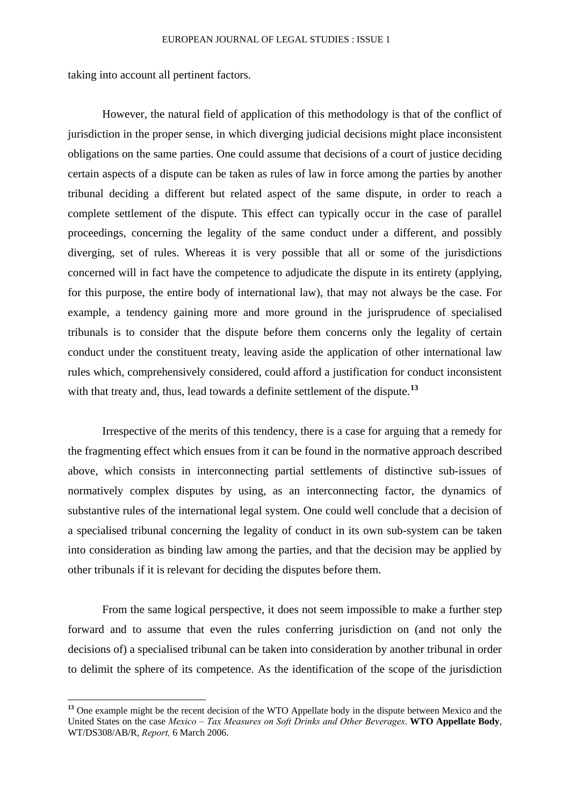taking into account all pertinent factors.

1

However, the natural field of application of this methodology is that of the conflict of jurisdiction in the proper sense, in which diverging judicial decisions might place inconsistent obligations on the same parties. One could assume that decisions of a court of justice deciding certain aspects of a dispute can be taken as rules of law in force among the parties by another tribunal deciding a different but related aspect of the same dispute, in order to reach a complete settlement of the dispute. This effect can typically occur in the case of parallel proceedings, concerning the legality of the same conduct under a different, and possibly diverging, set of rules. Whereas it is very possible that all or some of the jurisdictions concerned will in fact have the competence to adjudicate the dispute in its entirety (applying, for this purpose, the entire body of international law), that may not always be the case. For example, a tendency gaining more and more ground in the jurisprudence of specialised tribunals is to consider that the dispute before them concerns only the legality of certain conduct under the constituent treaty, leaving aside the application of other international law rules which, comprehensively considered, could afford a justification for conduct inconsistent with that treaty and, thus, lead towards a definite settlement of the dispute.<sup>[13](#page-13-0)</sup>

Irrespective of the merits of this tendency, there is a case for arguing that a remedy for the fragmenting effect which ensues from it can be found in the normative approach described above, which consists in interconnecting partial settlements of distinctive sub-issues of normatively complex disputes by using, as an interconnecting factor, the dynamics of substantive rules of the international legal system. One could well conclude that a decision of a specialised tribunal concerning the legality of conduct in its own sub-system can be taken into consideration as binding law among the parties, and that the decision may be applied by other tribunals if it is relevant for deciding the disputes before them.

From the same logical perspective, it does not seem impossible to make a further step forward and to assume that even the rules conferring jurisdiction on (and not only the decisions of) a specialised tribunal can be taken into consideration by another tribunal in order to delimit the sphere of its competence. As the identification of the scope of the jurisdiction

<span id="page-13-0"></span>**<sup>13</sup>** One example might be the recent decision of the WTO Appellate body in the dispute between Mexico and the United States on the case *Mexico – Tax Measures on Soft Drinks and Other Beverages*. **WTO Appellate Body**, WT/DS308/AB/R, *Report,* 6 March 2006.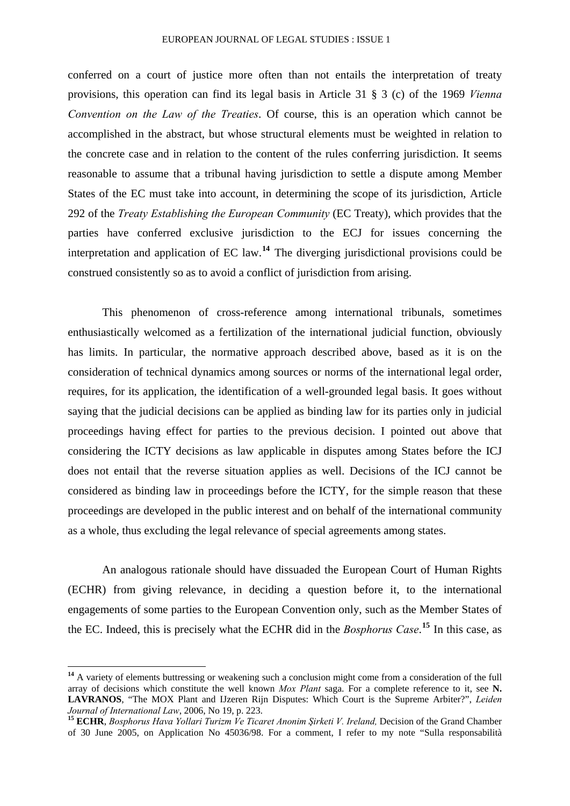conferred on a court of justice more often than not entails the interpretation of treaty provisions, this operation can find its legal basis in Article 31 § 3 (c) of the 1969 *Vienna Convention on the Law of the Treaties*. Of course, this is an operation which cannot be accomplished in the abstract, but whose structural elements must be weighted in relation to the concrete case and in relation to the content of the rules conferring jurisdiction. It seems reasonable to assume that a tribunal having jurisdiction to settle a dispute among Member States of the EC must take into account, in determining the scope of its jurisdiction, Article 292 of the *Treaty Establishing the European Community* (EC Treaty), which provides that the parties have conferred exclusive jurisdiction to the ECJ for issues concerning the interpretation and application of EC law.**[14](#page-14-0)** The diverging jurisdictional provisions could be construed consistently so as to avoid a conflict of jurisdiction from arising.

This phenomenon of cross-reference among international tribunals, sometimes enthusiastically welcomed as a fertilization of the international judicial function, obviously has limits. In particular, the normative approach described above, based as it is on the consideration of technical dynamics among sources or norms of the international legal order, requires, for its application, the identification of a well-grounded legal basis. It goes without saying that the judicial decisions can be applied as binding law for its parties only in judicial proceedings having effect for parties to the previous decision. I pointed out above that considering the ICTY decisions as law applicable in disputes among States before the ICJ does not entail that the reverse situation applies as well. Decisions of the ICJ cannot be considered as binding law in proceedings before the ICTY, for the simple reason that these proceedings are developed in the public interest and on behalf of the international community as a whole, thus excluding the legal relevance of special agreements among states.

An analogous rationale should have dissuaded the European Court of Human Rights (ECHR) from giving relevance, in deciding a question before it, to the international engagements of some parties to the European Convention only, such as the Member States of the EC. Indeed, this is precisely what the ECHR did in the *Bosphorus Case*. **[15](#page-14-1)** In this case, as

<span id="page-14-0"></span><sup>&</sup>lt;sup>14</sup> A variety of elements buttressing or weakening such a conclusion might come from a consideration of the full array of decisions which constitute the well known *Mox Plant* saga. For a complete reference to it, see **N. LAVRANOS**, "The MOX Plant and IJzeren Rijn Disputes: Which Court is the Supreme Arbiter?", *Leiden Journal of International Law*, 2006, No 19, p. 223.

<span id="page-14-1"></span>**<sup>15</sup> ECHR**, *Bosphorus Hava Yollari Turizm Ve Ticaret Anonim Şirketi V. Ireland,* Decision of the Grand Chamber of 30 June 2005, on Application No 45036/98. For a comment, I refer to my note "Sulla responsabilità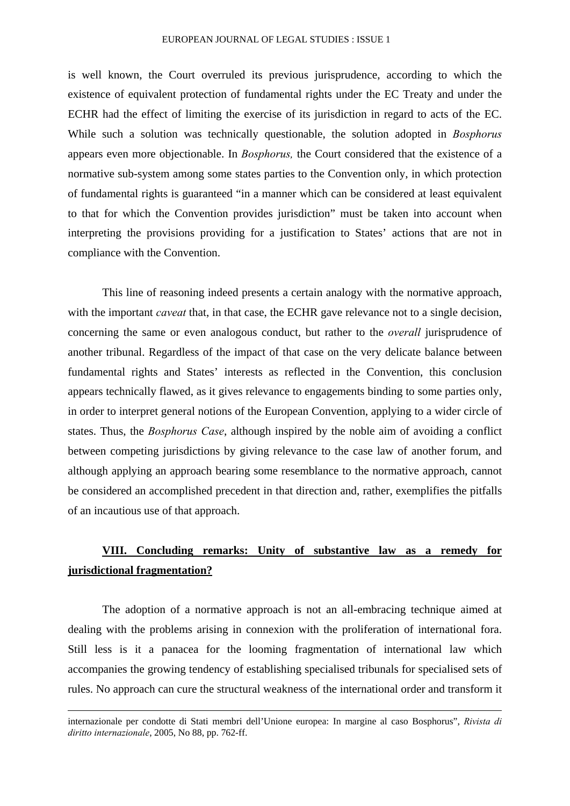is well known, the Court overruled its previous jurisprudence, according to which the existence of equivalent protection of fundamental rights under the EC Treaty and under the ECHR had the effect of limiting the exercise of its jurisdiction in regard to acts of the EC. While such a solution was technically questionable, the solution adopted in *Bosphorus* appears even more objectionable. In *Bosphorus,* the Court considered that the existence of a normative sub-system among some states parties to the Convention only, in which protection of fundamental rights is guaranteed "in a manner which can be considered at least equivalent to that for which the Convention provides jurisdiction" must be taken into account when interpreting the provisions providing for a justification to States' actions that are not in compliance with the Convention.

This line of reasoning indeed presents a certain analogy with the normative approach, with the important *caveat* that, in that case, the ECHR gave relevance not to a single decision, concerning the same or even analogous conduct, but rather to the *overall* jurisprudence of another tribunal. Regardless of the impact of that case on the very delicate balance between fundamental rights and States' interests as reflected in the Convention, this conclusion appears technically flawed, as it gives relevance to engagements binding to some parties only, in order to interpret general notions of the European Convention, applying to a wider circle of states. Thus, the *Bosphorus Case*, although inspired by the noble aim of avoiding a conflict between competing jurisdictions by giving relevance to the case law of another forum, and although applying an approach bearing some resemblance to the normative approach, cannot be considered an accomplished precedent in that direction and, rather, exemplifies the pitfalls of an incautious use of that approach.

## **VIII. Concluding remarks: Unity of substantive law as a remedy for jurisdictional fragmentation?**

The adoption of a normative approach is not an all-embracing technique aimed at dealing with the problems arising in connexion with the proliferation of international fora. Still less is it a panacea for the looming fragmentation of international law which accompanies the growing tendency of establishing specialised tribunals for specialised sets of rules. No approach can cure the structural weakness of the international order and transform it

internazionale per condotte di Stati membri dell'Unione europea: In margine al caso Bosphorus", *Rivista di diritto internazionale*, 2005, No 88, pp. 762-ff.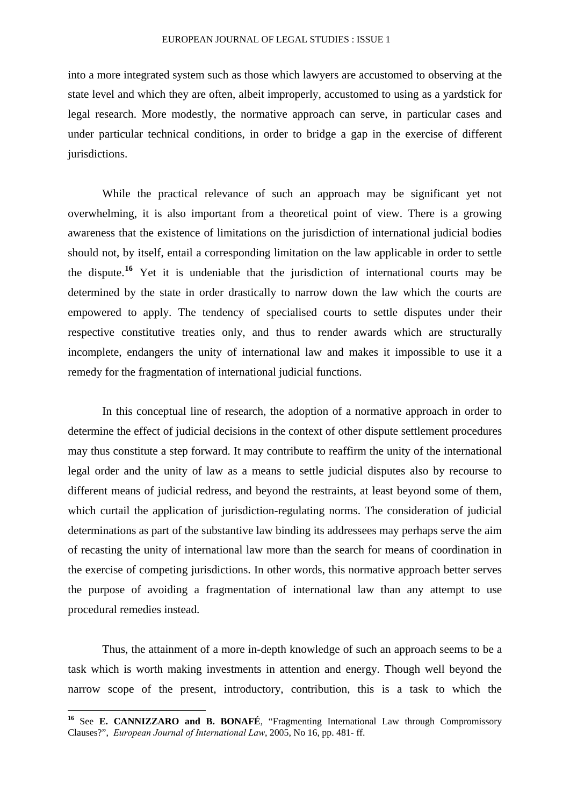into a more integrated system such as those which lawyers are accustomed to observing at the state level and which they are often, albeit improperly, accustomed to using as a yardstick for legal research. More modestly, the normative approach can serve, in particular cases and under particular technical conditions, in order to bridge a gap in the exercise of different jurisdictions.

While the practical relevance of such an approach may be significant yet not overwhelming, it is also important from a theoretical point of view. There is a growing awareness that the existence of limitations on the jurisdiction of international judicial bodies should not, by itself, entail a corresponding limitation on the law applicable in order to settle the dispute.**[16](#page-16-0)** Yet it is undeniable that the jurisdiction of international courts may be determined by the state in order drastically to narrow down the law which the courts are empowered to apply. The tendency of specialised courts to settle disputes under their respective constitutive treaties only, and thus to render awards which are structurally incomplete, endangers the unity of international law and makes it impossible to use it a remedy for the fragmentation of international judicial functions.

In this conceptual line of research, the adoption of a normative approach in order to determine the effect of judicial decisions in the context of other dispute settlement procedures may thus constitute a step forward. It may contribute to reaffirm the unity of the international legal order and the unity of law as a means to settle judicial disputes also by recourse to different means of judicial redress, and beyond the restraints, at least beyond some of them, which curtail the application of jurisdiction-regulating norms. The consideration of judicial determinations as part of the substantive law binding its addressees may perhaps serve the aim of recasting the unity of international law more than the search for means of coordination in the exercise of competing jurisdictions. In other words, this normative approach better serves the purpose of avoiding a fragmentation of international law than any attempt to use procedural remedies instead.

Thus, the attainment of a more in-depth knowledge of such an approach seems to be a task which is worth making investments in attention and energy. Though well beyond the narrow scope of the present, introductory, contribution, this is a task to which the

<u>.</u>

<span id="page-16-0"></span>**<sup>16</sup>** See **E. CANNIZZARO and B. BONAFÉ**, "Fragmenting International Law through Compromissory Clauses?", *European Journal of International Law*, 2005, No 16, pp. 481- ff.